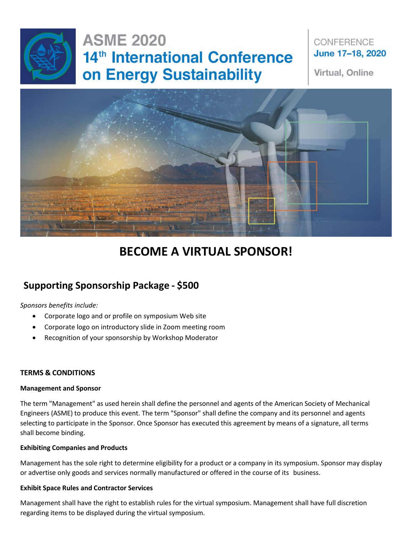

### CONFERENCE June 17-18, 2020

Virtual, Online



# **BECOME A VIRTUAL SPONSOR!**

## **Supporting Sponsorship Package - \$500**

*Sponsors benefits include:*

- Corporate logo and or profile on symposium Web site
- Corporate logo on introductory slide in Zoom meeting room
- Recognition of your sponsorship by Workshop Moderator

#### **TERMS & CONDITIONS**

#### **Management and Sponsor**

The term "Management" as used herein shall define the personnel and agents of the American Society of Mechanical Engineers (ASME) to produce this event. The term "Sponsor" shall define the company and its personnel and agents selecting to participate in the Sponsor. Once Sponsor has executed this agreement by means of a signature, all terms shall become binding.

#### **Exhibiting Companies and Products**

Management has the sole right to determine eligibility for a product or a company in its symposium. Sponsor may display or advertise only goods and services normally manufactured or offered in the course of its business.

#### **Exhibit Space Rules and Contractor Services**

Management shall have the right to establish rules for the virtual symposium. Management shall have full discretion regarding items to be displayed during the virtual symposium.